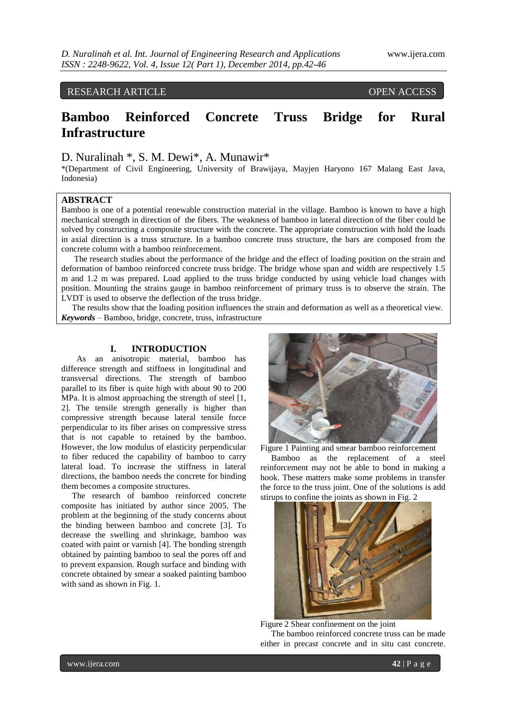# RESEARCH ARTICLE OPEN ACCESS

# **Bamboo Reinforced Concrete Truss Bridge for Rural Infrastructure**

# D. Nuralinah \*, S. M. Dewi\*, A. Munawir\*

\*(Department of Civil Engineering, University of Brawijaya, Mayjen Haryono 167 Malang East Java, Indonesia)

# **ABSTRACT**

Bamboo is one of a potential renewable construction material in the village. Bamboo is known to have a high mechanical strength in direction of the fibers. The weakness of bamboo in lateral direction of the fiber could be solved by constructing a composite structure with the concrete. The appropriate construction with hold the loads in axial direction is a truss structure. In a bamboo concrete truss structure, the bars are composed from the concrete column with a bamboo reinforcement.

 The research studies about the performance of the bridge and the effect of loading position on the strain and deformation of bamboo reinforced concrete truss bridge. The bridge whose span and width are respectively 1.5 m and 1.2 m was prepared. Load applied to the truss bridge conducted by using vehicle load changes with position. Mounting the strains gauge in bamboo reinforcement of primary truss is to observe the strain. The LVDT is used to observe the deflection of the truss bridge.

 The results show that the loading position influences the strain and deformation as well as a theoretical view. *Keywords* – Bamboo, bridge, concrete, truss, infrastructure

## **I. INTRODUCTION**

As an anisotropic material, bamboo has difference strength and stiffness in longitudinal and transversal directions. The strength of bamboo parallel to its fiber is quite high with about 90 to 200 MPa. It is almost approaching the strength of steel [1, 2]. The tensile strength generally is higher than compressive strength because lateral tensile force perpendicular to its fiber arises on compressive stress that is not capable to retained by the bamboo. However, the low modulus of elasticity perpendicular to fiber reduced the capability of bamboo to carry lateral load. To increase the stiffness in lateral directions, the bamboo needs the concrete for binding them becomes a composite structures.

 The research of bamboo reinforced concrete composite has initiated by author since 2005. The problem at the beginning of the study concerns about the binding between bamboo and concrete [3]. To decrease the swelling and shrinkage, bamboo was coated with paint or varnish [4]. The bonding strength obtained by painting bamboo to seal the pores off and to prevent expansion. Rough surface and binding with concrete obtained by smear a soaked painting bamboo with sand as shown in Fig. 1.



Figure 1 Painting and smear bamboo reinforcement Bamboo as the replacement of a steel reinforcement may not be able to bond in making a hook. These matters make some problems in transfer the force to the truss joint. One of the solutions is add stirups to confine the joints as shown in Fig. 2



Figure 2 Shear confinement on the joint

 The bamboo reinforced concrete truss can be made either in precast concrete and in situ cast concrete.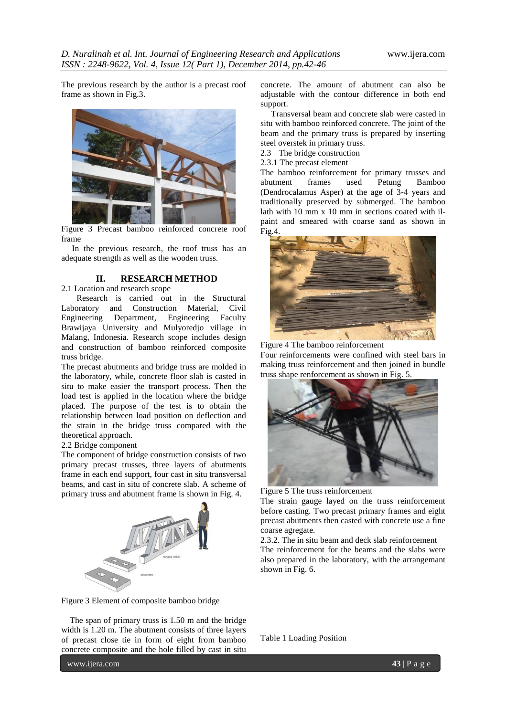The previous research by the author is a precast roof frame as shown in Fig.3.



Figure 3 Precast bamboo reinforced concrete roof frame

 In the previous research, the roof truss has an adequate strength as well as the wooden truss.

## **II. RESEARCH METHOD**

2.1 Location and research scope

Research is carried out in the Structural Laboratory and Construction Material, Civil Engineering Department, Engineering Faculty Brawijaya University and Mulyoredjo village in Malang, Indonesia. Research scope includes design and construction of bamboo reinforced composite truss bridge.

The precast abutments and bridge truss are molded in the laboratory, while, concrete floor slab is casted in situ to make easier the transport process. Then the load test is applied in the location where the bridge placed. The purpose of the test is to obtain the relationship between load position on deflection and the strain in the bridge truss compared with the theoretical approach.

#### 2.2 Bridge component

The component of bridge construction consists of two primary precast trusses, three layers of abutments frame in each end support, four cast in situ transversal beams, and cast in situ of concrete slab. A scheme of primary truss and abutment frame is shown in Fig. 4.



Figure 3 Element of composite bamboo bridge

 The span of primary truss is 1.50 m and the bridge width is 1.20 m. The abutment consists of three layers of precast close tie in form of eight from bamboo concrete composite and the hole filled by cast in situ concrete. The amount of abutment can also be adjustable with the contour difference in both end support.

 Transversal beam and concrete slab were casted in situ with bamboo reinforced concrete. The joint of the beam and the primary truss is prepared by inserting steel overstek in primary truss.

2.3 The bridge construction

2.3.1 The precast element

The bamboo reinforcement for primary trusses and<br>abutment frames used Petung Bamboo abutment frames used Petung Bamboo (Dendrocalamus Asper) at the age of 3-4 years and traditionally preserved by submerged. The bamboo lath with 10 mm x 10 mm in sections coated with ilpaint and smeared with coarse sand as shown in Fig.4.



Figure 4 The bamboo reinforcement

Four reinforcements were confined with steel bars in making truss reinforcement and then joined in bundle truss shape renforcement as shown in Fig. 5.



Figure 5 The truss reinforcement

The strain gauge layed on the truss reinforcement before casting. Two precast primary frames and eight precast abutments then casted with concrete use a fine coarse agregate.

2.3.2. The in situ beam and deck slab reinforcement The reinforcement for the beams and the slabs were also prepared in the laboratory, with the arrangemant shown in Fig. 6.

Table 1 Loading Position

www.ijera.com **43** | P a g e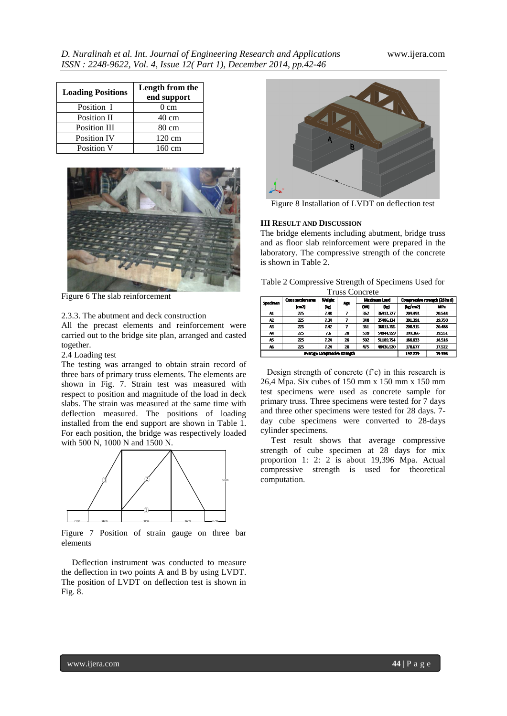| <b>Loading Positions</b> | Length from the<br>end support |  |  |
|--------------------------|--------------------------------|--|--|
| Position I               | $0 \text{ cm}$                 |  |  |
| Position II              | 40 cm                          |  |  |
| <b>Position III</b>      | $80 \text{ cm}$                |  |  |
| <b>Position IV</b>       | $120 \text{ cm}$               |  |  |
| Position V               | 160 cm                         |  |  |



Figure 6 The slab reinforcement

#### 2.3.3. The abutment and deck construction

All the precast elements and reinforcement were carried out to the bridge site plan, arranged and casted together.

2.4 Loading test

The testing was arranged to obtain strain record of three bars of primary truss elements. The elements are shown in Fig. 7. Strain test was measured with respect to position and magnitude of the load in deck slabs. The strain was measured at the same time with deflection measured. The positions of loading installed from the end support are shown in Table 1. For each position, the bridge was respectively loaded with 500 N, 1000 N and 1500 N.



Figure 7 Position of strain gauge on three bar elements

 Deflection instrument was conducted to measure the deflection in two points A and B by using LVDT. The position of LVDT on deflection test is shown in Fig. 8.



Figure 8 Installation of LVDT on deflection test

#### **III RESULT AND DISCUSSION**

The bridge elements including abutment, bridge truss and as floor slab reinforcement were prepared in the laboratory. The compressive strength of the concrete is shown in Table 2.

| <b>Truss Concrete</b>        |                    |               |    |              |           |                                |                 |
|------------------------------|--------------------|---------------|----|--------------|-----------|--------------------------------|-----------------|
| Specimen                     | Cross section area | <b>Weight</b> |    | Maximum Load |           | Compressive strength (28 hari) |                 |
|                              | (m2)               | Age<br>(kd    |    | (M)          | (kr)      | $(\log(m2))$                   | MP <sub>2</sub> |
| A1                           | 775                | 7.48          | 7  | 362          | 36913.727 | 209.493                        | 20.544          |
| A2                           | $\overline{25}$    | 7.34          | 7  | 348          | 35486.124 | 201.391                        | 19.750          |
| A3                           | 775                | 7.0           | 7  | 361          | 35811.755 | 208.915                        | 20.488          |
| м                            | $\overline{25}$    | 7.6           | 28 | 530          | 54044.959 | 199.366                        | 19.551          |
| A5                           | $\overline{25}$    | 7.24          | 28 | 502          | 51189.754 | 188.833                        | 18.518          |
| A6                           | 775                | 724           | 28 | 475          | 48436.520 | 178.677                        | 17.577          |
| Average compressive strength |                    |               |    |              | 197.779   | 19396                          |                 |

 Design strength of concrete (f'c) in this research is 26,4 Mpa. Six cubes of 150 mm x 150 mm x 150 mm test specimens were used as concrete sample for primary truss. Three specimens were tested for 7 days and three other specimens were tested for 28 days. 7 day cube specimens were converted to 28-days cylinder specimens.

 Test result shows that average compressive strength of cube specimen at 28 days for mix proportion 1: 2: 2 is about 19,396 Mpa. Actual compressive strength is used for theoretical computation.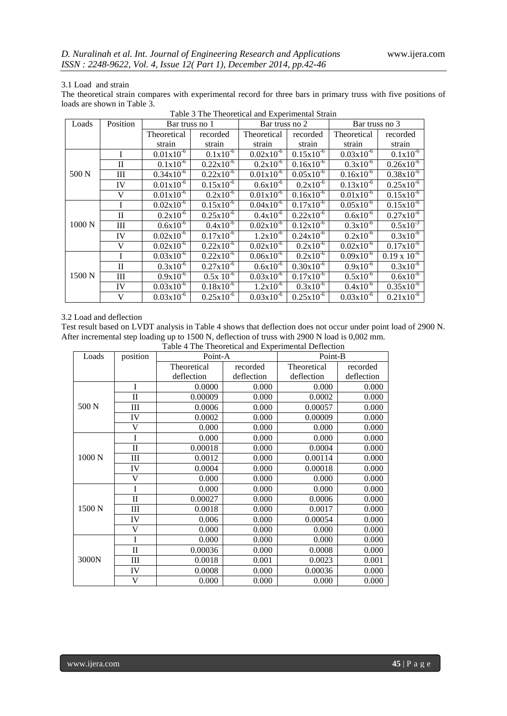## 3.1 Load and strain

The theoretical strain compares with experimental record for three bars in primary truss with five positions of loads are shown in Table 3.

| Loads  | Position     | Bar truss no 1 |                       | Bar truss no 2 |                       | Bar truss no 3 |                       |
|--------|--------------|----------------|-----------------------|----------------|-----------------------|----------------|-----------------------|
|        |              | Theoretical    | recorded              | Theoretical    | recorded              | Theoretical    | recorded              |
|        |              | strain         | strain                | strain         | strain                | strain         | strain                |
| 500 N  |              | $0.01x10^{-6}$ | $0.1x10^{-6}$         | $0.02x10^{-6}$ | $0.15x10^{-6}$        | $0.03x10^{-6}$ | $0.1x10^{-6}$         |
|        | $\mathbf{I}$ | $0.1x10^{-6}$  | $0.22 \times 10^{-6}$ | $0.2x10^{-6}$  | $0.16x10^{-6}$        | $0.3x10^{-6}$  | $0.26x10^{-6}$        |
|        | Ш            | $0.34x10^{-6}$ | $0.22 \times 10^{-6}$ | $0.01x10^{-6}$ | $0.05x10^{-6}$        | $0.16x10^{-6}$ | $0.38x10^{-6}$        |
|        | IV           | $0.01x10^{-6}$ | $0.15x10^{-6}$        | $0.6x10^{-6}$  | $0.2x10^{-6}$         | $0.13x10^{-6}$ | $0.25 \times 10^{-6}$ |
|        | V            | $0.01x10^{-6}$ | $0.2x10^{-6}$         | $0.01x10^{-6}$ | $0.16x10^{-6}$        | $0.01x10^{-6}$ | $0.15x10^{-6}$        |
| 1000 N |              | $0.02x10^{-6}$ | $0.15x10^{-6}$        | $0.04x10^{-6}$ | $0.17x10^{-6}$        | $0.05x10^{-6}$ | $0.15x10^{-6}$        |
|        | $_{\rm II}$  | $0.2x10^{-6}$  | $0.25x10^{-6}$        | $0.4x10^{-6}$  | $0.22 \times 10^{-6}$ | $0.6x10^{-6}$  | $0.27x10^{-6}$        |
|        | III          | $0.6x10^{-6}$  | $0.4x10^{-6}$         | $0.02x10^{-6}$ | $0.12x10^{-6}$        | $0.3x10^{-6}$  | $0.5x10^{-3}$         |
|        | IV           | $0.02x10^{-6}$ | $0.17x10^{-6}$        | $1.2x10^{-6}$  | $0.24x10^{-6}$        | $0.2x10^{-6}$  | $0.3x10^{-6}$         |
|        | V            | $0.02x10^{-6}$ | $0.22 \times 10^{-6}$ | $0.02x10^{-6}$ | $0.2x10^{-6}$         | $0.02x10^{-6}$ | $0.17x10^{-6}$        |
| 1500 N |              | $0.03x10^{-6}$ | $0.22 \times 10^{-6}$ | $0.06x10^{-6}$ | $0.2x10^{-6}$         | $0.09x10^{-6}$ | $0.19 \times 10^{-6}$ |
|        | $\mathbf{I}$ | $0.3x10^{-6}$  | $0.27 \times 10^{-6}$ | $0.6x10^{-6}$  | $0.30x10^{-6}$        | $0.9x10^{-6}$  | $0.3x10^{-6}$         |
|        | Ш            | $0.9x10^{-6}$  | $0.5x\ 10^{-6}$       | $0.03x10^{-6}$ | $0.17x10^{-6}$        | $0.5x10^{-6}$  | $0.6x10^{-6}$         |
|        | IV           | $0.03x10^{-6}$ | $0.18x10^{-6}$        | $1.2x10^{-6}$  | $0.3x10^{-6}$         | $0.4x10^{-6}$  | $0.35x10^{-6}$        |
|        | V            | $0.03x10^{-6}$ | $0.25x10^{-6}$        | $0.03x10^{-6}$ | $0.25x10^{-6}$        | $0.03x10^{-6}$ | $0.21 \times 10^{-6}$ |

#### Table 3 The Theoretical and Experimental Strain

#### 3.2 Load and deflection

Test result based on LVDT analysis in Table 4 shows that deflection does not occur under point load of 2900 N. After incremental step loading up to 1500 N, deflection of truss with 2900 N load is 0,002 mm.

| Table 4 The Theoretical and Experimental Deflection |  |
|-----------------------------------------------------|--|
|-----------------------------------------------------|--|

| Loads           | position     | Point-A     |            | Point-B     |            |  |
|-----------------|--------------|-------------|------------|-------------|------------|--|
|                 |              | Theoretical | recorded   | Theoretical | recorded   |  |
|                 |              | deflection  | deflection | deflection  | deflection |  |
|                 | I            | 0.0000      | 0.000      | 0.000       | 0.000      |  |
| 500 N           | $\mathbf{I}$ | 0.00009     | 0.000      | 0.0002      | 0.000      |  |
|                 | III          | 0.0006      | 0.000      | 0.00057     | 0.000      |  |
|                 | IV           | 0.0002      | 0.000      | 0.00009     | 0.000      |  |
|                 | V            | 0.000       | 0.000      | 0.000       | 0.000      |  |
|                 | I            | 0.000       | 0.000      | 0.000       | 0.000      |  |
| $1000\text{ N}$ | $\mathbf{I}$ | 0.00018     | 0.000      | 0.0004      | 0.000      |  |
|                 | Ш            | 0.0012      | 0.000      | 0.00114     | 0.000      |  |
|                 | IV           | 0.0004      | 0.000      | 0.00018     | 0.000      |  |
|                 | V            | 0.000       | 0.000      | 0.000       | 0.000      |  |
| 1500 N          | I            | 0.000       | 0.000      | 0.000       | 0.000      |  |
|                 | $\mathbf{I}$ | 0.00027     | 0.000      | 0.0006      | 0.000      |  |
|                 | Ш            | 0.0018      | 0.000      | 0.0017      | 0.000      |  |
|                 | IV           | 0.006       | 0.000      | 0.00054     | 0.000      |  |
|                 | V            | 0.000       | 0.000      | 0.000       | 0.000      |  |
| 3000N           | I            | 0.000       | 0.000      | 0.000       | 0.000      |  |
|                 | $\mathbf{I}$ | 0.00036     | 0.000      | 0.0008      | 0.000      |  |
|                 | Ш            | 0.0018      | 0.001      | 0.0023      | 0.001      |  |
|                 | IV           | 0.0008      | 0.000      | 0.00036     | 0.000      |  |
|                 | V            | 0.000       | 0.000      | 0.000       | 0.000      |  |